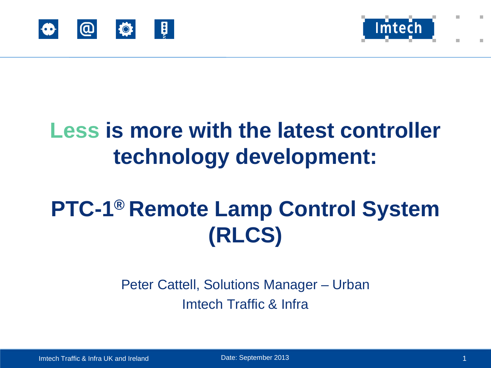



# **Less is more with the latest controller technology development:**

# **PTC-1® Remote Lamp Control System (RLCS)**

Peter Cattell, Solutions Manager – Urban Imtech Traffic & Infra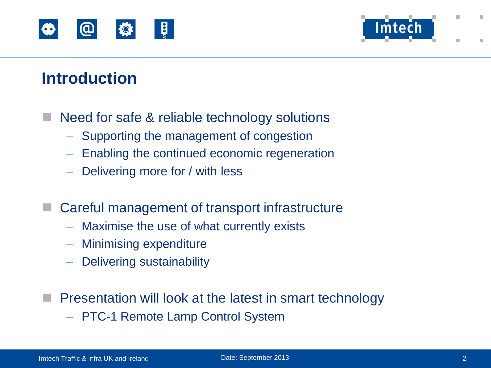



#### **Introduction**

- Need for safe & reliable technology solutions
	- Supporting the management of congestion
	- Enabling the continued economic regeneration
	- Delivering more for / with less
- Careful management of transport infrastructure
	- Maximise the use of what currently exists
	- Minimising expenditure
	- Delivering sustainability
- Presentation will look at the latest in smart technology
	- PTC-1 Remote Lamp Control System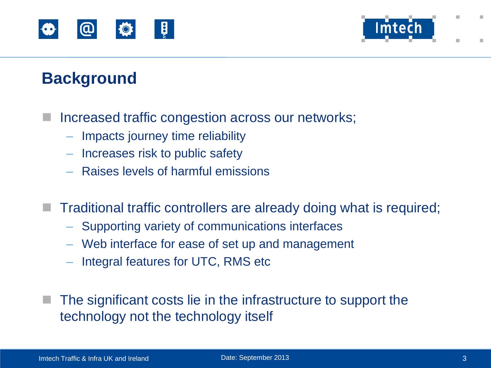



# **Background**

- Increased traffic congestion across our networks;
	- Impacts journey time reliability
	- Increases risk to public safety
	- Raises levels of harmful emissions
	- Traditional traffic controllers are already doing what is required;
		- Supporting variety of communications interfaces
		- Web interface for ease of set up and management
		- Integral features for UTC, RMS etc
	- The significant costs lie in the infrastructure to support the technology not the technology itself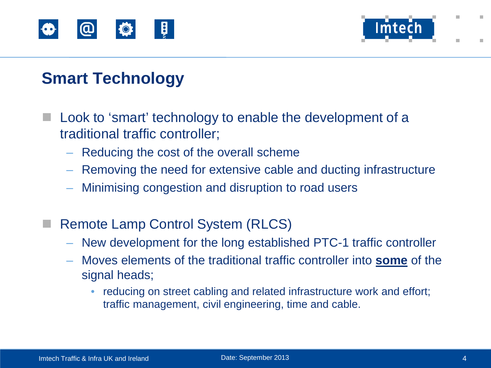



# **Smart Technology**

- Look to 'smart' technology to enable the development of a traditional traffic controller;
	- Reducing the cost of the overall scheme
	- Removing the need for extensive cable and ducting infrastructure
	- Minimising congestion and disruption to road users
- Remote Lamp Control System (RLCS)
	- New development for the long established PTC-1 traffic controller
	- Moves elements of the traditional traffic controller into **some** of the signal heads;
		- reducing on street cabling and related infrastructure work and effort; traffic management, civil engineering, time and cable.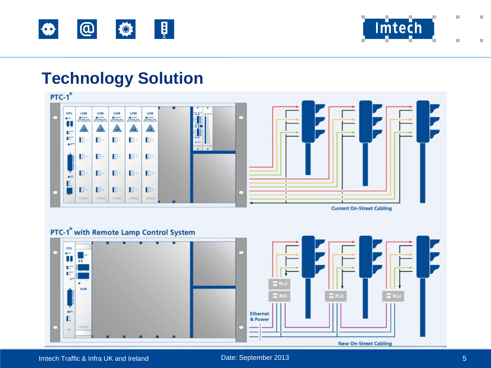



#### **Technology Solution**



#### PTC-1<sup>®</sup> with Remote Lamp Control System



Imtech Traffic & Infra UK and Ireland **Date:** September 2013 5 and Date: September 2013 5 and Date: September 2013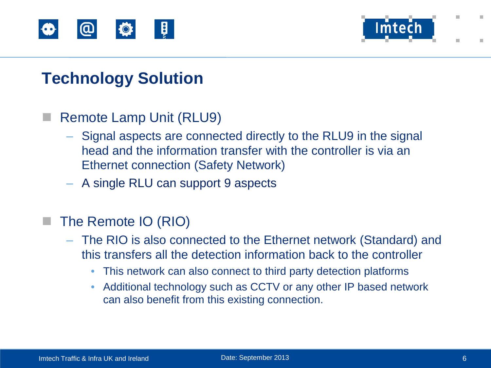



# **Technology Solution**

#### Remote Lamp Unit (RLU9)

- Signal aspects are connected directly to the RLU9 in the signal head and the information transfer with the controller is via an Ethernet connection (Safety Network)
- A single RLU can support 9 aspects

#### The Remote IO (RIO)

- The RIO is also connected to the Ethernet network (Standard) and this transfers all the detection information back to the controller
	- This network can also connect to third party detection platforms
	- Additional technology such as CCTV or any other IP based network can also benefit from this existing connection.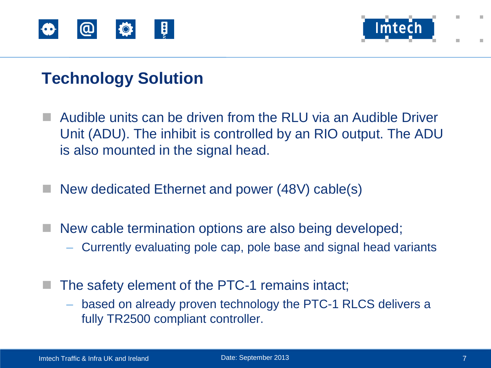



# **Technology Solution**

- Audible units can be driven from the RLU via an Audible Driver Unit (ADU). The inhibit is controlled by an RIO output. The ADU is also mounted in the signal head.
- New dedicated Ethernet and power (48V) cable(s)
- New cable termination options are also being developed;
	- Currently evaluating pole cap, pole base and signal head variants
- $\blacksquare$  The safety element of the PTC-1 remains intact;
	- based on already proven technology the PTC-1 RLCS delivers a fully TR2500 compliant controller.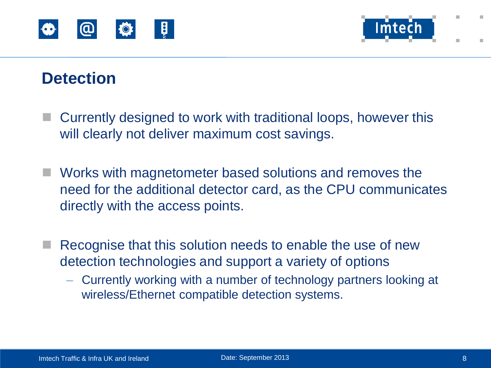



#### **Detection**

- Currently designed to work with traditional loops, however this will clearly not deliver maximum cost savings.
- Works with magnetometer based solutions and removes the need for the additional detector card, as the CPU communicates directly with the access points.
- $\blacksquare$  Recognise that this solution needs to enable the use of new detection technologies and support a variety of options
	- Currently working with a number of technology partners looking at wireless/Ethernet compatible detection systems.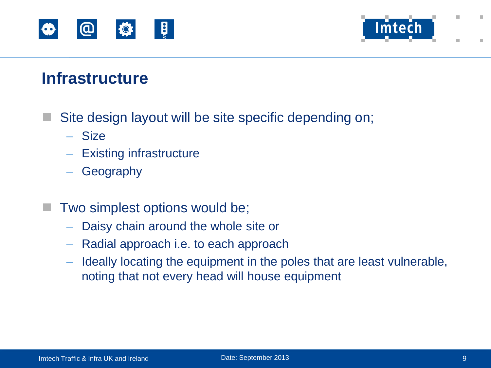



#### **Infrastructure**

- Site design layout will be site specific depending on;
	- Size
	- Existing infrastructure
	- **Geography**
- Two simplest options would be;
	- Daisy chain around the whole site or
	- Radial approach i.e. to each approach
	- Ideally locating the equipment in the poles that are least vulnerable, noting that not every head will house equipment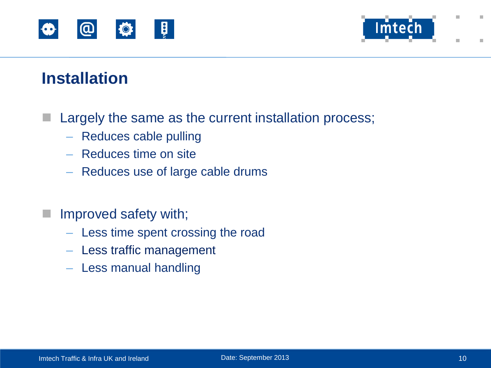



#### **Installation**

 $\blacksquare$  Largely the same as the current installation process;

- Reduces cable pulling
- Reduces time on site
- Reduces use of large cable drums
- **Improved safety with;** 
	- Less time spent crossing the road
	- Less traffic management
	- Less manual handling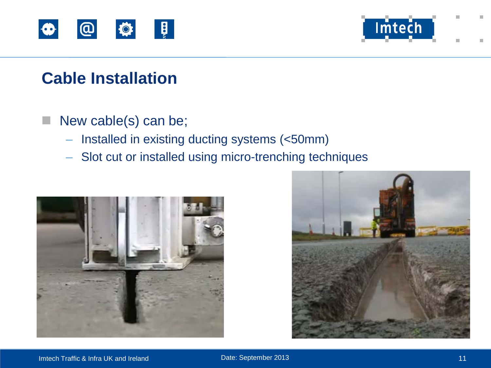



## **Cable Installation**

#### New cable(s) can be;

- Installed in existing ducting systems (<50mm)
- Slot cut or installed using micro-trenching techniques



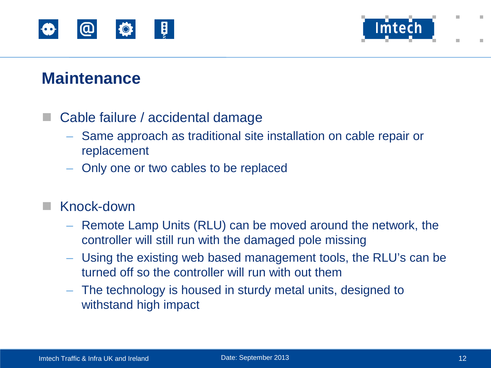



#### **Maintenance**

#### Cable failure / accidental damage

- Same approach as traditional site installation on cable repair or replacement
- Only one or two cables to be replaced

#### Knock-down

- Remote Lamp Units (RLU) can be moved around the network, the controller will still run with the damaged pole missing
- Using the existing web based management tools, the RLU's can be turned off so the controller will run with out them
- The technology is housed in sturdy metal units, designed to withstand high impact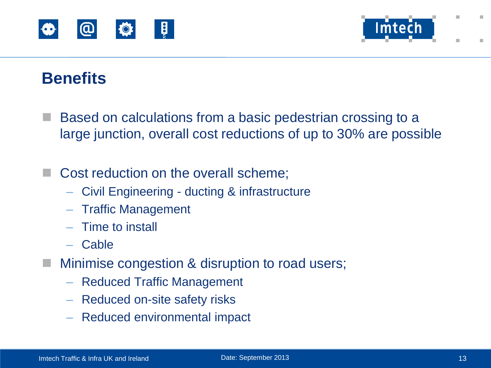



# **Benefits**

- Based on calculations from a basic pedestrian crossing to a large junction, overall cost reductions of up to 30% are possible
- Cost reduction on the overall scheme;
	- Civil Engineering ducting & infrastructure
	- Traffic Management
	- Time to install
	- Cable
- Minimise congestion & disruption to road users;
	- Reduced Traffic Management
	- Reduced on-site safety risks
	- Reduced environmental impact